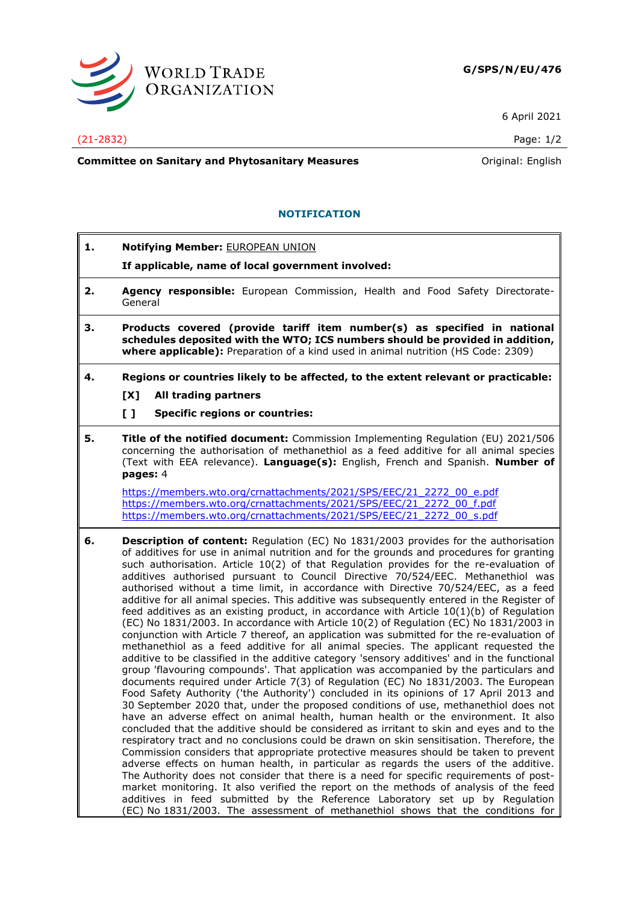

6 April 2021

## (21-2832) Page: 1/2

**Committee on Sanitary and Phytosanitary Measures Committee on Sanitary and Phytosanitary Measures Original: English** 

## **NOTIFICATION**

**1. Notifying Member:** EUROPEAN UNION **If applicable, name of local government involved: 2. Agency responsible:** European Commission, Health and Food Safety Directorate-General **3. Products covered (provide tariff item number(s) as specified in national schedules deposited with the WTO; ICS numbers should be provided in addition, where applicable):** Preparation of a kind used in animal nutrition (HS Code: 2309) **4. Regions or countries likely to be affected, to the extent relevant or practicable: [X] All trading partners [ ] Specific regions or countries: 5. Title of the notified document:** Commission Implementing Regulation (EU) 2021/506 concerning the authorisation of methanethiol as a feed additive for all animal species (Text with EEA relevance). **Language(s):** English, French and Spanish. **Number of pages:** 4 [https://members.wto.org/crnattachments/2021/SPS/EEC/21\\_2272\\_00\\_e.pdf](https://members.wto.org/crnattachments/2021/SPS/EEC/21_2272_00_e.pdf) [https://members.wto.org/crnattachments/2021/SPS/EEC/21\\_2272\\_00\\_f.pdf](https://members.wto.org/crnattachments/2021/SPS/EEC/21_2272_00_f.pdf) [https://members.wto.org/crnattachments/2021/SPS/EEC/21\\_2272\\_00\\_s.pdf](https://members.wto.org/crnattachments/2021/SPS/EEC/21_2272_00_s.pdf) **6. Description of content:** Regulation (EC) No 1831/2003 provides for the authorisation of additives for use in animal nutrition and for the grounds and procedures for granting such authorisation. Article 10(2) of that Regulation provides for the re-evaluation of additives authorised pursuant to Council Directive 70/524/EEC. Methanethiol was authorised without a time limit, in accordance with Directive 70/524/EEC, as a feed additive for all animal species. This additive was subsequently entered in the Register of feed additives as an existing product, in accordance with Article  $10(1)(b)$  of Regulation (EC) No 1831/2003. In accordance with Article 10(2) of Regulation (EC) No 1831/2003 in conjunction with Article 7 thereof, an application was submitted for the re-evaluation of methanethiol as a feed additive for all animal species. The applicant requested the additive to be classified in the additive category 'sensory additives' and in the functional group 'flavouring compounds'. That application was accompanied by the particulars and documents required under Article 7(3) of Regulation (EC) No 1831/2003. The European Food Safety Authority ('the Authority') concluded in its opinions of 17 April 2013 and 30 September 2020 that, under the proposed conditions of use, methanethiol does not have an adverse effect on animal health, human health or the environment. It also concluded that the additive should be considered as irritant to skin and eyes and to the respiratory tract and no conclusions could be drawn on skin sensitisation. Therefore, the Commission considers that appropriate protective measures should be taken to prevent adverse effects on human health, in particular as regards the users of the additive. The Authority does not consider that there is a need for specific requirements of postmarket monitoring. It also verified the report on the methods of analysis of the feed

additives in feed submitted by the Reference Laboratory set up by Regulation (EC) No 1831/2003. The assessment of methanethiol shows that the conditions for